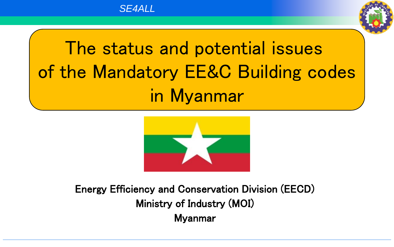

# The status and potential issues of the Mandatory EE&C Building codes in Myanmar



Energy Efficiency and Conservation Division (EECD) Ministry of Industry (MOI) Myanmar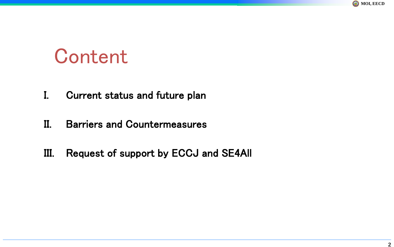

# **Content**

- I. Current status and future plan
- II. Barriers and Countermeasures
- III. Request of support by ECCJ and SE4All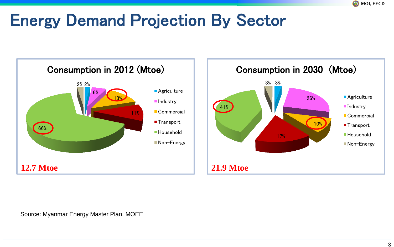## Energy Demand Projection By Sector





Source: Myanmar Energy Master Plan, MOEE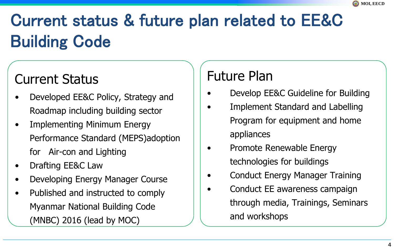# Current status & future plan related to EE&C Building Code

### Current Status

- Developed EE&C Policy, Strategy and Roadmap including building sector
- Implementing Minimum Energy Performance Standard (MEPS)adoption for Air-con and Lighting
- Drafting EE&C Law
- Developing Energy Manager Course
- Published and instructed to comply Myanmar National Building Code (MNBC) 2016 (lead by MOC)

### Future Plan

- Develop EE&C Guideline for Building
- Implement Standard and Labelling Program for equipment and home appliances
- Promote Renewable Energy technologies for buildings
- Conduct Energy Manager Training
- Conduct EE awareness campaign through media, Trainings, Seminars and workshops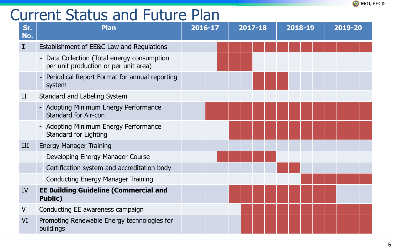### Current Status and Future Plan

| Sr.<br>No.  | <b>Plan</b>                                                                          | $\overline{2016-17}$ | 2017-18 | 2018-19 | 2019-20 |  |
|-------------|--------------------------------------------------------------------------------------|----------------------|---------|---------|---------|--|
| I           | Establishment of EE&C Law and Regulations                                            |                      |         |         |         |  |
|             | - Data Collection (Total energy consumption<br>per unit production or per unit area) |                      |         |         |         |  |
|             | Periodical Report Format for annual reporting<br>system                              |                      |         |         |         |  |
| $_{\rm II}$ | Standard and Labeling System                                                         |                      |         |         |         |  |
|             | - Adopting Minimum Energy Performance<br><b>Standard for Air-con</b>                 |                      |         |         |         |  |
|             | - Adopting Minimum Energy Performance<br>Standard for Lighting                       |                      |         |         |         |  |
| III         | <b>Energy Manager Training</b>                                                       |                      |         |         |         |  |
|             | - Developing Energy Manager Course                                                   |                      |         |         |         |  |
|             | - Certification system and accreditation body                                        |                      |         |         |         |  |
|             | <b>Conducting Energy Manager Training</b>                                            |                      |         |         |         |  |
| IV          | <b>EE Building Guideline (Commercial and</b><br><b>Public)</b>                       |                      |         |         |         |  |
| V           | Conducting EE awareness campaign                                                     |                      |         |         |         |  |
| VI          | Promoting Renewable Energy technologies for<br>buildings                             |                      |         |         |         |  |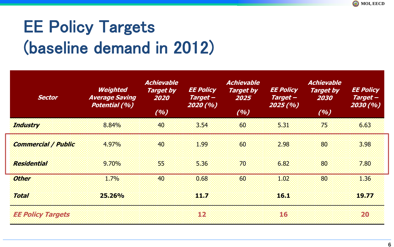# EE Policy Targets (baseline demand in 2012)

| <b>Sector</b>              | <b>Weighted</b><br><b>Average Saving</b><br><b>Potential (%)</b> | <b>Achievable</b><br><b>Target by</b><br>2020<br>(%) | <b>EE Policy</b><br>Target-<br>2020 (%) | <b>Achievable</b><br><b>Target by</b><br>2025<br>(%) | <b>EE Policy</b><br>Target -<br>2025(%) | <b>Achievable</b><br><b>Target by</b><br>2030<br>(%) | <b>EE Policy</b><br>Target-<br>2030(%) |
|----------------------------|------------------------------------------------------------------|------------------------------------------------------|-----------------------------------------|------------------------------------------------------|-----------------------------------------|------------------------------------------------------|----------------------------------------|
| <b>Industry</b>            | 8.84%                                                            | 40                                                   | 3.54                                    | 60                                                   | 5.31                                    | 75                                                   | 6.63                                   |
| <b>Commercial / Public</b> | 4.97%                                                            | 40                                                   | 1.99                                    | 60                                                   | 2.98                                    | 80                                                   | 3.98                                   |
| <b>Residential</b>         | 9.70%                                                            | 55                                                   | 5.36                                    | 70                                                   | 6.82                                    | 80                                                   | 7.80                                   |
| <b>Other</b>               | 1.7%                                                             | 40                                                   | 0.68                                    | 60                                                   | 1.02                                    | 80                                                   | 1.36                                   |
| <b>Total</b>               | 25.26%                                                           |                                                      | 11.7                                    |                                                      | 46.T                                    |                                                      | 19.77                                  |
| <b>EE Policy Targets</b>   |                                                                  |                                                      | 12                                      |                                                      | 16                                      |                                                      | 20                                     |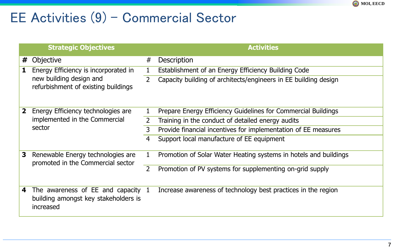### EE Activities (9) – Commercial Sector

|   | <b>Strategic Objectives</b>                                                                            |                | <b>Activities</b>                                                |
|---|--------------------------------------------------------------------------------------------------------|----------------|------------------------------------------------------------------|
| # | Objective                                                                                              | #              | <b>Description</b>                                               |
|   | Energy Efficiency is incorporated in<br>new building design and<br>refurbishment of existing buildings |                | Establishment of an Energy Efficiency Building Code              |
|   |                                                                                                        | $\overline{2}$ | Capacity building of architects/engineers in EE building design  |
| 2 | Energy Efficiency technologies are<br>implemented in the Commercial<br>sector                          |                | Prepare Energy Efficiency Guidelines for Commercial Buildings    |
|   |                                                                                                        | $\overline{2}$ | Training in the conduct of detailed energy audits                |
|   |                                                                                                        | 3              | Provide financial incentives for implementation of EE measures   |
|   |                                                                                                        | 4              | Support local manufacture of EE equipment                        |
| 3 | Renewable Energy technologies are<br>promoted in the Commercial sector                                 | 1              | Promotion of Solar Water Heating systems in hotels and buildings |
|   |                                                                                                        | $\overline{2}$ | Promotion of PV systems for supplementing on-grid supply         |
| 4 | The awareness of $EE$ and capacity $1$<br>building amongst key stakeholders is<br>increased            |                | Increase awareness of technology best practices in the region    |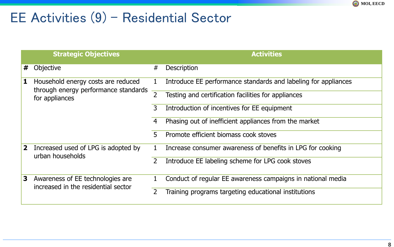### EE Activities (9) – Residential Sector

|              | <b>Strategic Objectives</b>                                                                  |   | <b>Activities</b>                                              |
|--------------|----------------------------------------------------------------------------------------------|---|----------------------------------------------------------------|
| #            | Objective                                                                                    | # | Description                                                    |
| 1            | Household energy costs are reduced<br>through energy performance standards<br>for appliances | 1 | Introduce EE performance standards and labeling for appliances |
|              |                                                                                              | 2 | Testing and certification facilities for appliances            |
|              |                                                                                              | 3 | Introduction of incentives for EE equipment                    |
|              |                                                                                              | 4 | Phasing out of inefficient appliances from the market          |
|              |                                                                                              | 5 | Promote efficient biomass cook stoves                          |
| $\mathbf{2}$ | Increased used of LPG is adopted by<br>urban households                                      |   | Increase consumer awareness of benefits in LPG for cooking     |
|              |                                                                                              |   | Introduce EE labeling scheme for LPG cook stoves               |
| 3            | Awareness of EE technologies are<br>increased in the residential sector                      |   | Conduct of regular EE awareness campaigns in national media    |
|              |                                                                                              | 2 | Training programs targeting educational institutions           |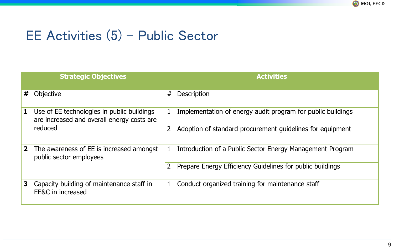### EE Activities (5) – Public Sector

|              | <b>Strategic Objectives</b>                                                              |              | <b>Activities</b>                                           |
|--------------|------------------------------------------------------------------------------------------|--------------|-------------------------------------------------------------|
| #            | Objective                                                                                | #            | <b>Description</b>                                          |
| 1            | Use of EE technologies in public buildings<br>are increased and overall energy costs are |              | Implementation of energy audit program for public buildings |
|              | reduced                                                                                  | 2            | Adoption of standard procurement guidelines for equipment   |
| $\mathbf{2}$ | The awareness of EE is increased amongst<br>public sector employees                      |              | Introduction of a Public Sector Energy Management Program   |
|              |                                                                                          | 2            | Prepare Energy Efficiency Guidelines for public buildings   |
| 3            | Capacity building of maintenance staff in<br>EE&C in increased                           | $\mathbf{1}$ | Conduct organized training for maintenance staff            |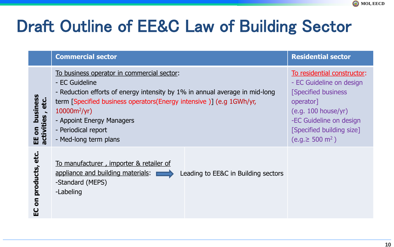

## Draft Outline of EE&C Law of Building Sector

|                                                | <b>Commercial sector</b>                                                                                                                                                                                                                                                                                           | <b>Residential sector</b>                                                                                                                                                                                        |
|------------------------------------------------|--------------------------------------------------------------------------------------------------------------------------------------------------------------------------------------------------------------------------------------------------------------------------------------------------------------------|------------------------------------------------------------------------------------------------------------------------------------------------------------------------------------------------------------------|
| business<br>etc.<br>EE on busin<br>activities, | To business operator in commercial sector:<br>- EC Guideline<br>- Reduction efforts of energy intensity by 1% in annual average in mid-long<br>term [Specified business operators(Energy intensive)] (e.g 1GWh/yr,<br>$10000m^2/yr$ )<br>- Appoint Energy Managers<br>- Periodical report<br>- Med-long term plans | To residential constructor:<br>- EC Guideline on design<br><b>Specified business</b><br>operator]<br>(e.g. 100 house/yr)<br>-EC Guideline on design<br>[Specified building size]<br>$(e.g. \ge 500 \text{ m}^2)$ |
| products, etc.<br>$\overline{\bf{5}}$<br>ပ္ပ   | To manufacturer, importer & retailer of<br>appliance and building materials:<br>Leading to EE&C in Building sectors<br>-Standard (MEPS)<br>-Labeling                                                                                                                                                               |                                                                                                                                                                                                                  |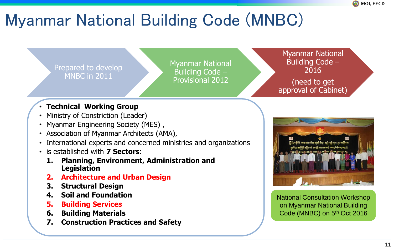

## Myanmar National Building Code (MNBC)

Prepared to develop MNBC in 2011

Myanmar National Building Code – Provisional 2012

Myanmar National Building Code – 2016

(need to get approval of Cabinet)

#### • **Technical Working Group**

- Ministry of Constriction (Leader)
- Myanmar Engineering Society (MES) ,
- Association of Myanmar Architects (AMA),
- International experts and concerned ministries and organizations
- is established with **7 Sectors**:
	- **1. Planning, Environment, Administration and Legislation**
	- **2. Architecture and Urban Design**
	- **3. Structural Design**
	- **4. Soil and Foundation**
	- **5. Building Services**
	- **6. Building Materials**
	- **7. Construction Practices and Safety**



National Consultation Workshop on Myanmar National Building Code (MNBC) on 5<sup>th</sup> Oct 2016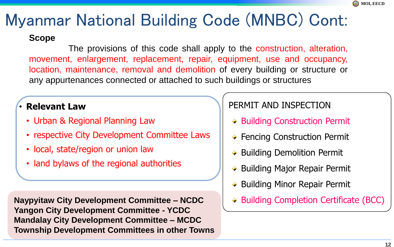

## Myanmar National Building Code (MNBC) Cont:

#### **Scope**

The provisions of this code shall apply to the construction, alteration, movement, enlargement, replacement, repair, equipment, use and occupancy, location, maintenance, removal and demolition of every building or structure or any appurtenances connected or attached to such buildings or structures

#### • **Relevant Law**

- Urban & Regional Planning Law
- respective City Development Committee Laws
- local, state/region or union law
- land bylaws of the regional authorities

**Naypyitaw City Development Committee – NCDC Yangon City Development Committee - YCDC Mandalay City Development Committee – MCDC Township Development Committees in other Towns**

#### PERMIT AND INSPECTION

- **→ Building Construction Permit**
- ◆ Fencing Construction Permit
- $\rightarrow$  Building Demolition Permit
- ◆ Building Major Repair Permit
- $\rightarrow$  Building Minor Repair Permit
- **→ Building Completion Certificate (BCC)**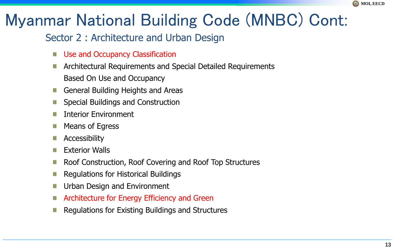

## Myanmar National Building Code (MNBC) Cont:

#### Sector 2 : Architecture and Urban Design

- Use and Occupancy Classification
- Architectural Requirements and Special Detailed Requirements Based On Use and Occupancy
- General Building Heights and Areas
- Special Buildings and Construction
- Interior Environment
- Means of Egress
- Accessibility
- Exterior Walls
- Roof Construction, Roof Covering and Roof Top Structures
- Regulations for Historical Buildings
- Urban Design and Environment
- Architecture for Energy Efficiency and Green
- Regulations for Existing Buildings and Structures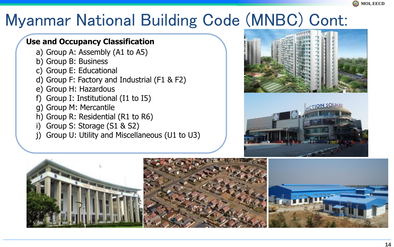

### Myanmar National Building Code (MNBC) Cont:

#### **Use and Occupancy Classification**

- a) Group A: Assembly (A1 to A5)
- b) Group B: Business
- c) Group E: Educational
- d) Group F: Factory and Industrial (F1 & F2)
- e) Group H: Hazardous
- f) Group I: Institutional (I1 to I5)
- g) Group M: Mercantile
- h) Group R: Residential (R1 to R6)
- i) Group S: Storage (S1 & S2)
- j) Group U: Utility and Miscellaneous (U1 to U3)





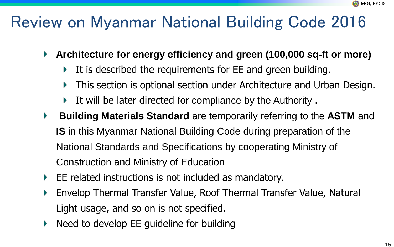## Review on Myanmar National Building Code 2016

- **Architecture for energy efficiency and green (100,000 sq-ft or more)** Þ.
	- It is described the requirements for EE and green building. Þ.
	- This section is optional section under Architecture and Urban Design.
	- It will be later directed for compliance by the Authority .
- **Building Materials Standard** are temporarily referring to the **ASTM** and Þ. **IS** in this Myanmar National Building Code during preparation of the National Standards and Specifications by cooperating Ministry of Construction and Ministry of Education
- EE related instructions is not included as mandatory. Þ.
- Envelop Thermal Transfer Value, Roof Thermal Transfer Value, Natural Þ Light usage, and so on is not specified.
- Need to develop EE guideline for building Þ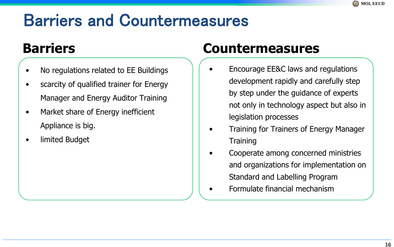## Barriers and Countermeasures

### **Barriers**

- No regulations related to EE Buildings
- scarcity of qualified trainer for Energy Manager and Energy Auditor Training
- Market share of Energy inefficient Appliance is big.
- limited Budget

### **Countermeasures**

- Encourage EE&C laws and regulations development rapidly and carefully step by step under the guidance of experts not only in technology aspect but also in legislation processes
- Training for Trainers of Energy Manager **Training**
- Cooperate among concerned ministries and organizations for implementation on Standard and Labelling Program
- Formulate financial mechanism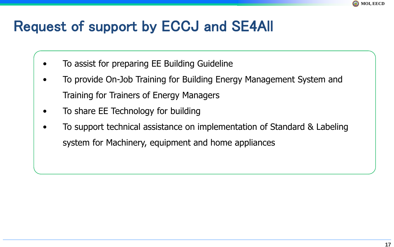

### Request of support by ECCJ and SE4All

- To assist for preparing EE Building Guideline
- To provide On-Job Training for Building Energy Management System and Training for Trainers of Energy Managers
- To share EE Technology for building
- To support technical assistance on implementation of Standard & Labeling system for Machinery, equipment and home appliances